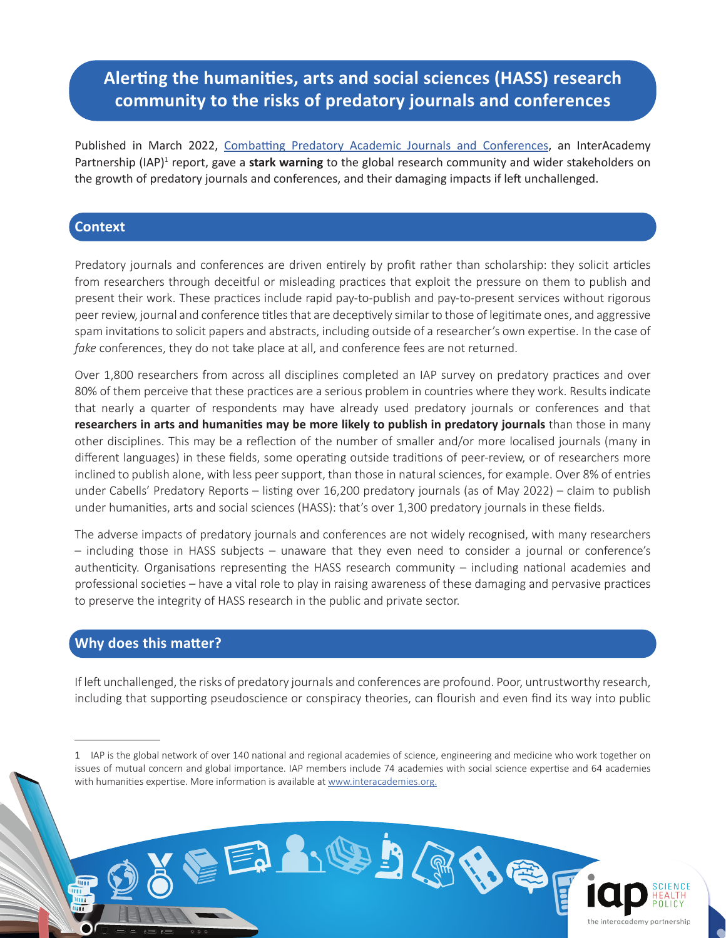## **Alerting the humanities, arts and social sciences (HASS) research community to the risks of predatory journals and conferences**

Published in March 2022, Combatting Predatory Academic Journals and Conferences, an InterAcademy Partnership (IAP)<sup>1</sup> report, gave a stark warning to the global research community and wider stakeholders on the growth of predatory journals and conferences, and their damaging impacts if left unchallenged.

## **Context**

Predatory journals and conferences are driven entirely by profit rather than scholarship: they solicit articles from researchers through deceitful or misleading practices that exploit the pressure on them to publish and present their work. These practices include rapid pay-to-publish and pay-to-present services without rigorous peer review, journal and conference titles that are deceptively similar to those of legitimate ones, and aggressive spam invitations to solicit papers and abstracts, including outside of a researcher's own expertise. In the case of *fake* conferences, they do not take place at all, and conference fees are not returned.

Over 1,800 researchers from across all disciplines completed an IAP survey on predatory practices and over 80% of them perceive that these practices are a serious problem in countries where they work. Results indicate that nearly a quarter of respondents may have already used predatory journals or conferences and that **researchers in arts and humanities may be more likely to publish in predatory journals** than those in many other disciplines. This may be a reflection of the number of smaller and/or more localised journals (many in different languages) in these fields, some operating outside traditions of peer-review, or of researchers more inclined to publish alone, with less peer support, than those in natural sciences, for example. Over 8% of entries under Cabells' Predatory Reports – listing over 16,200 predatory journals (as of May 2022) – claim to publish under humanities, arts and social sciences (HASS): that's over 1,300 predatory journals in these fields.

The adverse impacts of predatory journals and conferences are not widely recognised, with many researchers – including those in HASS subjects – unaware that they even need to consider a journal or conference's authenticity. Organisations representing the HASS research community – including national academies and professional societies – have a vital role to play in raising awareness of these damaging and pervasive practices to preserve the integrity of HASS research in the public and private sector.

## **Why does this matter?**

шī

If left unchallenged, the risks of predatory journals and conferences are profound. Poor, untrustworthy research, including that supporting pseudoscience or conspiracy theories, can flourish and even find its way into public

EEANODOGE

<sup>1</sup> IAP is the global network of over 140 national and regional academies of science, engineering and medicine who work together on issues of mutual concern and global importance. IAP members include 74 academies with social science expertise and 64 academies with humanities expertise. More information is available at www.interacademies.org.